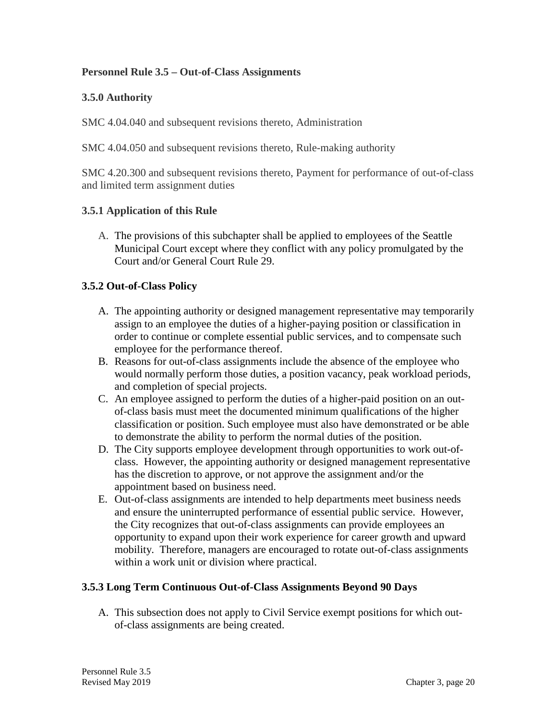## **Personnel Rule 3.5 – Out-of-Class Assignments**

## **3.5.0 Authority**

SMC 4.04.040 and subsequent revisions thereto, Administration

SMC 4.04.050 and subsequent revisions thereto, Rule-making authority

SMC 4.20.300 and subsequent revisions thereto, Payment for performance of out-of-class and limited term assignment duties

### **3.5.1 Application of this Rule**

A. The provisions of this subchapter shall be applied to employees of the Seattle Municipal Court except where they conflict with any policy promulgated by the Court and/or General Court Rule 29.

### **3.5.2 Out-of-Class Policy**

- A. The appointing authority or designed management representative may temporarily assign to an employee the duties of a higher-paying position or classification in order to continue or complete essential public services, and to compensate such employee for the performance thereof.
- B. Reasons for out-of-class assignments include the absence of the employee who would normally perform those duties, a position vacancy, peak workload periods, and completion of special projects.
- C. An employee assigned to perform the duties of a higher-paid position on an outof-class basis must meet the documented minimum qualifications of the higher classification or position. Such employee must also have demonstrated or be able to demonstrate the ability to perform the normal duties of the position.
- D. The City supports employee development through opportunities to work out-ofclass. However, the appointing authority or designed management representative has the discretion to approve, or not approve the assignment and/or the appointment based on business need.
- E. Out-of-class assignments are intended to help departments meet business needs and ensure the uninterrupted performance of essential public service. However, the City recognizes that out-of-class assignments can provide employees an opportunity to expand upon their work experience for career growth and upward mobility. Therefore, managers are encouraged to rotate out-of-class assignments within a work unit or division where practical.

## **3.5.3 Long Term Continuous Out-of-Class Assignments Beyond 90 Days**

A. This subsection does not apply to Civil Service exempt positions for which outof-class assignments are being created.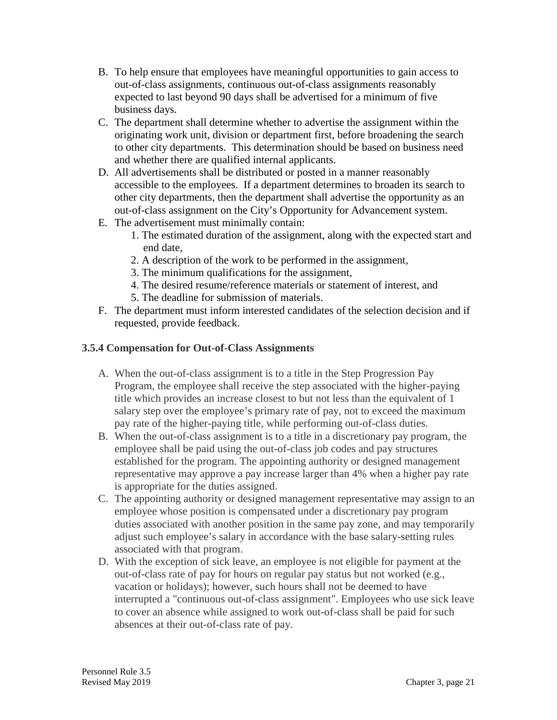- B. To help ensure that employees have meaningful opportunities to gain access to out-of-class assignments, continuous out-of-class assignments reasonably expected to last beyond 90 days shall be advertised for a minimum of five business days.
- C. The department shall determine whether to advertise the assignment within the originating work unit, division or department first, before broadening the search to other city departments. This determination should be based on business need and whether there are qualified internal applicants.
- D. All advertisements shall be distributed or posted in a manner reasonably accessible to the employees. If a department determines to broaden its search to other city departments, then the department shall advertise the opportunity as an out-of-class assignment on the City's Opportunity for Advancement system.
- E. The advertisement must minimally contain:
	- 1. The estimated duration of the assignment, along with the expected start and end date,
	- 2. A description of the work to be performed in the assignment,
	- 3. The minimum qualifications for the assignment,
	- 4. The desired resume/reference materials or statement of interest, and
	- 5. The deadline for submission of materials.
- F. The department must inform interested candidates of the selection decision and if requested, provide feedback.

## **3.5.4 Compensation for Out-of-Class Assignments**

- A. When the out-of-class assignment is to a title in the Step Progression Pay Program, the employee shall receive the step associated with the higher-paying title which provides an increase closest to but not less than the equivalent of 1 salary step over the employee's primary rate of pay, not to exceed the maximum pay rate of the higher-paying title, while performing out-of-class duties.
- B. When the out-of-class assignment is to a title in a discretionary pay program, the employee shall be paid using the out-of-class job codes and pay structures established for the program. The appointing authority or designed management representative may approve a pay increase larger than 4% when a higher pay rate is appropriate for the duties assigned.
- C. The appointing authority or designed management representative may assign to an employee whose position is compensated under a discretionary pay program duties associated with another position in the same pay zone, and may temporarily adjust such employee's salary in accordance with the base salary-setting rules associated with that program.
- D. With the exception of sick leave, an employee is not eligible for payment at the out-of-class rate of pay for hours on regular pay status but not worked (e.g., vacation or holidays); however, such hours shall not be deemed to have interrupted a "continuous out-of-class assignment". Employees who use sick leave to cover an absence while assigned to work out-of-class shall be paid for such absences at their out-of-class rate of pay.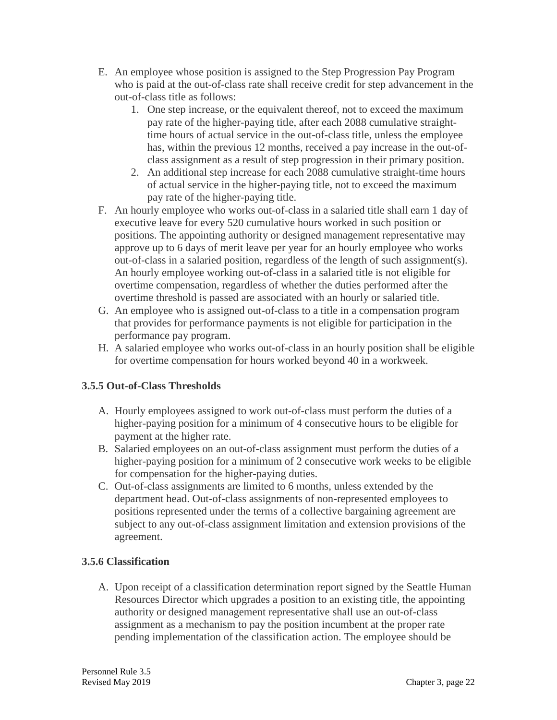- E. An employee whose position is assigned to the Step Progression Pay Program who is paid at the out-of-class rate shall receive credit for step advancement in the out-of-class title as follows:
	- 1. One step increase, or the equivalent thereof, not to exceed the maximum pay rate of the higher-paying title, after each 2088 cumulative straighttime hours of actual service in the out-of-class title, unless the employee has, within the previous 12 months, received a pay increase in the out-ofclass assignment as a result of step progression in their primary position.
	- 2. An additional step increase for each 2088 cumulative straight-time hours of actual service in the higher-paying title, not to exceed the maximum pay rate of the higher-paying title.
- F. An hourly employee who works out-of-class in a salaried title shall earn 1 day of executive leave for every 520 cumulative hours worked in such position or positions. The appointing authority or designed management representative may approve up to 6 days of merit leave per year for an hourly employee who works out-of-class in a salaried position, regardless of the length of such assignment(s). An hourly employee working out-of-class in a salaried title is not eligible for overtime compensation, regardless of whether the duties performed after the overtime threshold is passed are associated with an hourly or salaried title.
- G. An employee who is assigned out-of-class to a title in a compensation program that provides for performance payments is not eligible for participation in the performance pay program.
- H. A salaried employee who works out-of-class in an hourly position shall be eligible for overtime compensation for hours worked beyond 40 in a workweek.

# **3.5.5 Out-of-Class Thresholds**

- A. Hourly employees assigned to work out-of-class must perform the duties of a higher-paying position for a minimum of 4 consecutive hours to be eligible for payment at the higher rate.
- B. Salaried employees on an out-of-class assignment must perform the duties of a higher-paying position for a minimum of 2 consecutive work weeks to be eligible for compensation for the higher-paying duties.
- C. Out-of-class assignments are limited to 6 months, unless extended by the department head. Out-of-class assignments of non-represented employees to positions represented under the terms of a collective bargaining agreement are subject to any out-of-class assignment limitation and extension provisions of the agreement.

# **3.5.6 Classification**

A. Upon receipt of a classification determination report signed by the Seattle Human Resources Director which upgrades a position to an existing title, the appointing authority or designed management representative shall use an out-of-class assignment as a mechanism to pay the position incumbent at the proper rate pending implementation of the classification action. The employee should be